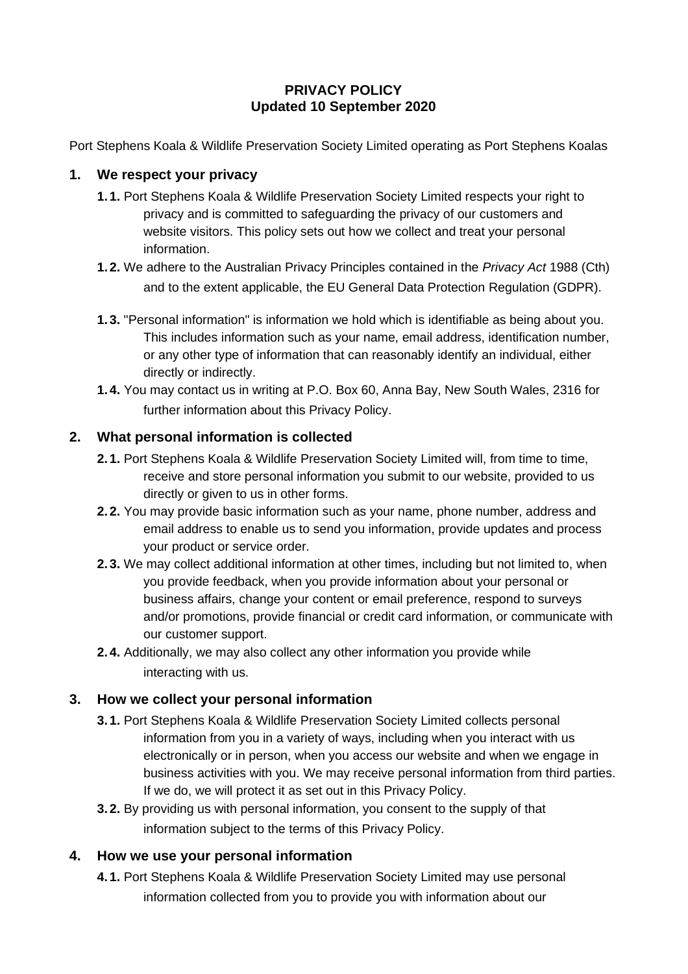## **PRIVACY POLICY Updated 10 September 2020**

Port Stephens Koala & Wildlife Preservation Society Limited operating as Port Stephens Koalas

## **1. We respect your privacy**

- **1. 1.** Port Stephens Koala & Wildlife Preservation Society Limited respects your right to privacy and is committed to safeguarding the privacy of our customers and website visitors. This policy sets out how we collect and treat your personal information.
- **1. 2.** We adhere to the Australian Privacy Principles contained in the *Privacy Act* 1988 (Cth) and to the extent applicable, the EU General Data Protection Regulation (GDPR).
- **1. 3.** "Personal information" is information we hold which is identifiable as being about you. This includes information such as your name, email address, identification number, or any other type of information that can reasonably identify an individual, either directly or indirectly.
- **1. 4.** You may contact us in writing at P.O. Box 60, Anna Bay, New South Wales, 2316 for further information about this Privacy Policy.

## **2. What personal information is collected**

- **2. 1.** Port Stephens Koala & Wildlife Preservation Society Limited will, from time to time, receive and store personal information you submit to our website, provided to us directly or given to us in other forms.
- **2. 2.** You may provide basic information such as your name, phone number, address and email address to enable us to send you information, provide updates and process your product or service order.
- **2. 3.** We may collect additional information at other times, including but not limited to, when you provide feedback, when you provide information about your personal or business affairs, change your content or email preference, respond to surveys and/or promotions, provide financial or credit card information, or communicate with our customer support.
- **2. 4.** Additionally, we may also collect any other information you provide while interacting with us.

# **3. How we collect your personal information**

- **3. 1.** Port Stephens Koala & Wildlife Preservation Society Limited collects personal information from you in a variety of ways, including when you interact with us electronically or in person, when you access our website and when we engage in business activities with you. We may receive personal information from third parties. If we do, we will protect it as set out in this Privacy Policy.
- **3. 2.** By providing us with personal information, you consent to the supply of that information subject to the terms of this Privacy Policy.

## **4. How we use your personal information**

**4. 1.** Port Stephens Koala & Wildlife Preservation Society Limited may use personal information collected from you to provide you with information about our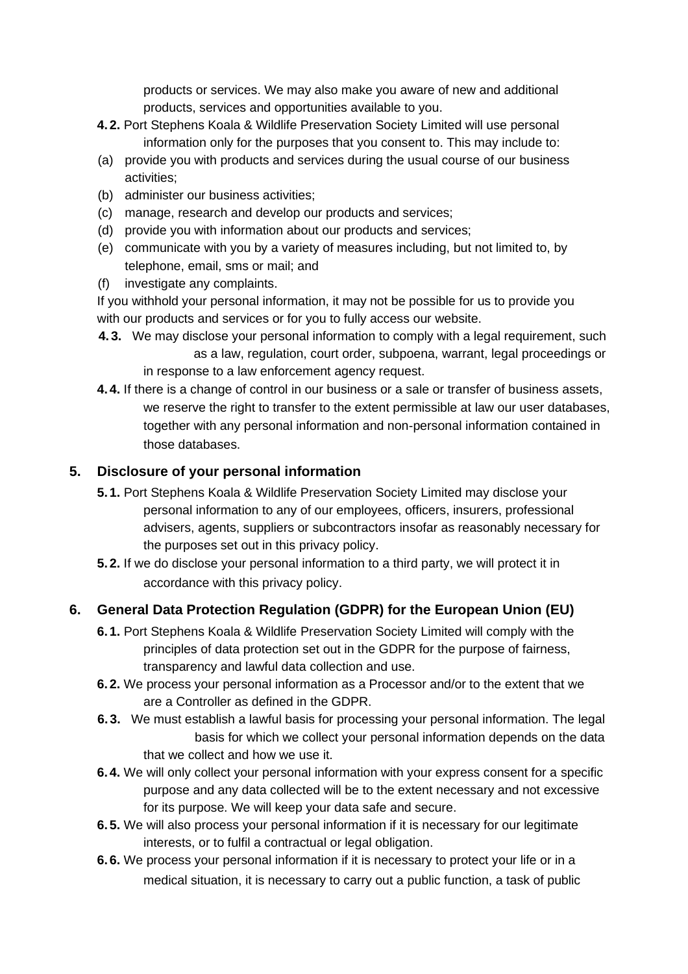products or services. We may also make you aware of new and additional products, services and opportunities available to you.

- **4. 2.** Port Stephens Koala & Wildlife Preservation Society Limited will use personal information only for the purposes that you consent to. This may include to:
- (a) provide you with products and services during the usual course of our business activities;
- (b) administer our business activities;
- (c) manage, research and develop our products and services;
- (d) provide you with information about our products and services;
- (e) communicate with you by a variety of measures including, but not limited to, by telephone, email, sms or mail; and
- (f) investigate any complaints.

If you withhold your personal information, it may not be possible for us to provide you with our products and services or for you to fully access our website.

- **4. 3.** We may disclose your personal information to comply with a legal requirement, such as a law, regulation, court order, subpoena, warrant, legal proceedings or in response to a law enforcement agency request.
- **4. 4.** If there is a change of control in our business or a sale or transfer of business assets, we reserve the right to transfer to the extent permissible at law our user databases, together with any personal information and non-personal information contained in those databases.

## **5. Disclosure of your personal information**

- **5. 1.** Port Stephens Koala & Wildlife Preservation Society Limited may disclose your personal information to any of our employees, officers, insurers, professional advisers, agents, suppliers or subcontractors insofar as reasonably necessary for the purposes set out in this privacy policy.
- **5. 2.** If we do disclose your personal information to a third party, we will protect it in accordance with this privacy policy.

# **6. General Data Protection Regulation (GDPR) for the European Union (EU)**

- **6. 1.** Port Stephens Koala & Wildlife Preservation Society Limited will comply with the principles of data protection set out in the GDPR for the purpose of fairness, transparency and lawful data collection and use.
- **6. 2.** We process your personal information as a Processor and/or to the extent that we are a Controller as defined in the GDPR.
- **6. 3.** We must establish a lawful basis for processing your personal information. The legal basis for which we collect your personal information depends on the data that we collect and how we use it.
- **6. 4.** We will only collect your personal information with your express consent for a specific purpose and any data collected will be to the extent necessary and not excessive for its purpose. We will keep your data safe and secure.
- **6. 5.** We will also process your personal information if it is necessary for our legitimate interests, or to fulfil a contractual or legal obligation.
- **6. 6.** We process your personal information if it is necessary to protect your life or in a medical situation, it is necessary to carry out a public function, a task of public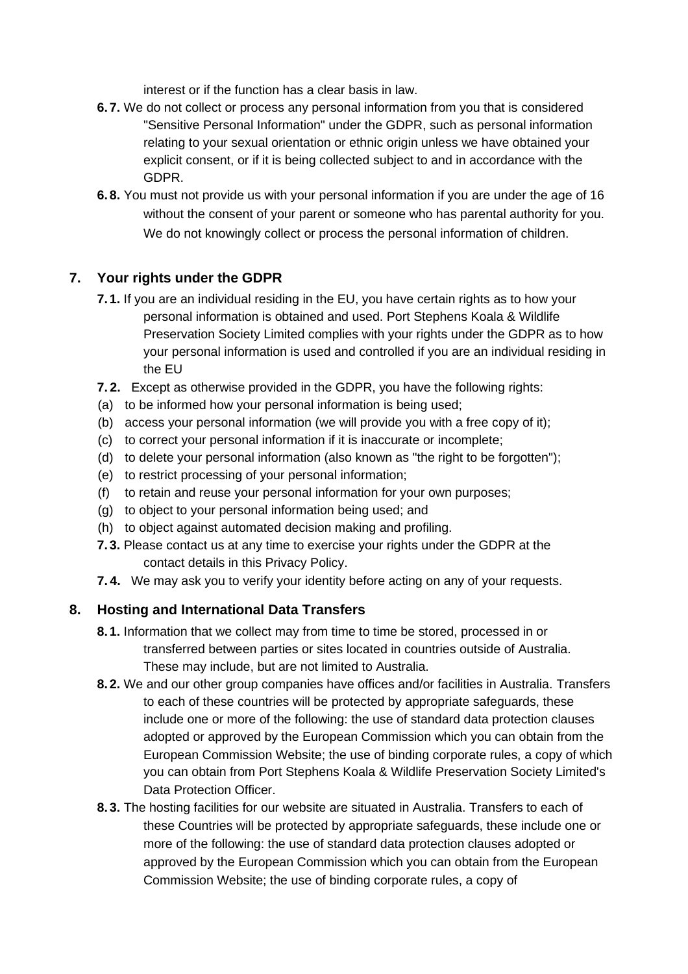interest or if the function has a clear basis in law.

- **6. 7.** We do not collect or process any personal information from you that is considered "Sensitive Personal Information" under the GDPR, such as personal information relating to your sexual orientation or ethnic origin unless we have obtained your explicit consent, or if it is being collected subject to and in accordance with the GDPR.
- **6. 8.** You must not provide us with your personal information if you are under the age of 16 without the consent of your parent or someone who has parental authority for you. We do not knowingly collect or process the personal information of children.

## **7. Your rights under the GDPR**

- **7. 1.** If you are an individual residing in the EU, you have certain rights as to how your personal information is obtained and used. Port Stephens Koala & Wildlife Preservation Society Limited complies with your rights under the GDPR as to how your personal information is used and controlled if you are an individual residing in the EU
- **7. 2.** Except as otherwise provided in the GDPR, you have the following rights:
- (a) to be informed how your personal information is being used;
- (b) access your personal information (we will provide you with a free copy of it);
- (c) to correct your personal information if it is inaccurate or incomplete;
- (d) to delete your personal information (also known as "the right to be forgotten");
- (e) to restrict processing of your personal information;
- (f) to retain and reuse your personal information for your own purposes;
- (g) to object to your personal information being used; and
- (h) to object against automated decision making and profiling.
- **7. 3.** Please contact us at any time to exercise your rights under the GDPR at the contact details in this Privacy Policy.
- **7. 4.** We may ask you to verify your identity before acting on any of your requests.

## **8. Hosting and International Data Transfers**

- **8. 1.** Information that we collect may from time to time be stored, processed in or transferred between parties or sites located in countries outside of Australia. These may include, but are not limited to Australia.
- **8. 2.** We and our other group companies have offices and/or facilities in Australia. Transfers to each of these countries will be protected by appropriate safeguards, these include one or more of the following: the use of standard data protection clauses adopted or approved by the European Commission which you can obtain from the European Commission Website; the use of binding corporate rules, a copy of which you can obtain from Port Stephens Koala & Wildlife Preservation Society Limited's Data Protection Officer.
- **8. 3.** The hosting facilities for our website are situated in Australia. Transfers to each of these Countries will be protected by appropriate safeguards, these include one or more of the following: the use of standard data protection clauses adopted or approved by the European Commission which you can obtain from the European Commission Website; the use of binding corporate rules, a copy of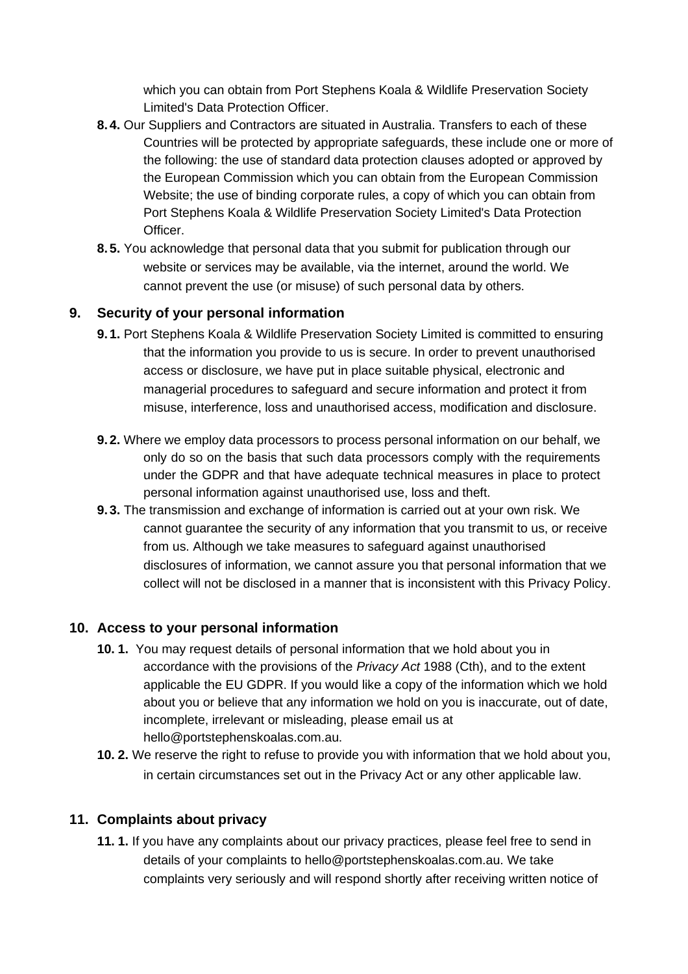which you can obtain from Port Stephens Koala & Wildlife Preservation Society Limited's Data Protection Officer.

- **8. 4.** Our Suppliers and Contractors are situated in Australia. Transfers to each of these Countries will be protected by appropriate safeguards, these include one or more of the following: the use of standard data protection clauses adopted or approved by the European Commission which you can obtain from the European Commission Website; the use of binding corporate rules, a copy of which you can obtain from Port Stephens Koala & Wildlife Preservation Society Limited's Data Protection Officer.
- **8. 5.** You acknowledge that personal data that you submit for publication through our website or services may be available, via the internet, around the world. We cannot prevent the use (or misuse) of such personal data by others.

## **9. Security of your personal information**

- **9. 1.** Port Stephens Koala & Wildlife Preservation Society Limited is committed to ensuring that the information you provide to us is secure. In order to prevent unauthorised access or disclosure, we have put in place suitable physical, electronic and managerial procedures to safeguard and secure information and protect it from misuse, interference, loss and unauthorised access, modification and disclosure.
- **9. 2.** Where we employ data processors to process personal information on our behalf, we only do so on the basis that such data processors comply with the requirements under the GDPR and that have adequate technical measures in place to protect personal information against unauthorised use, loss and theft.
- **9. 3.** The transmission and exchange of information is carried out at your own risk. We cannot guarantee the security of any information that you transmit to us, or receive from us. Although we take measures to safeguard against unauthorised disclosures of information, we cannot assure you that personal information that we collect will not be disclosed in a manner that is inconsistent with this Privacy Policy.

#### **10. Access to your personal information**

- **10. 1.** You may request details of personal information that we hold about you in accordance with the provisions of the *Privacy Act* 1988 (Cth), and to the extent applicable the EU GDPR. If you would like a copy of the information which we hold about you or believe that any information we hold on you is inaccurate, out of date, incomplete, irrelevant or misleading, please email us at hello@portstephenskoalas.com.au.
- **10. 2.** We reserve the right to refuse to provide you with information that we hold about you, in certain circumstances set out in the Privacy Act or any other applicable law.

## **11. Complaints about privacy**

**11. 1.** If you have any complaints about our privacy practices, please feel free to send in details of your complaints to hello@portstephenskoalas.com.au. We take complaints very seriously and will respond shortly after receiving written notice of